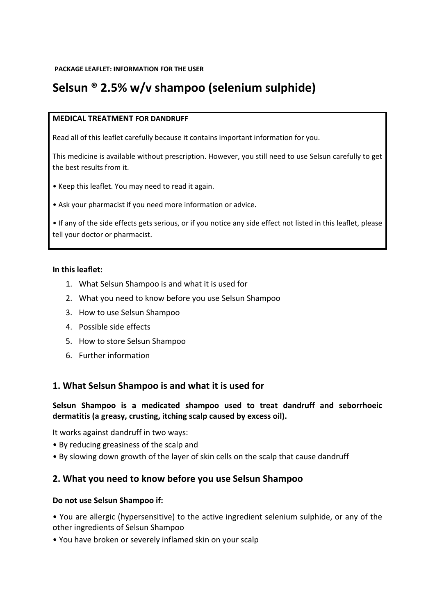# **Selsun ® 2.5% w/v shampoo (selenium sulphide)**

#### **MEDICAL TREATMENT FOR DANDRUFF**

Read all of this leaflet carefully because it contains important information for you.

This medicine is available without prescription. However, you still need to use Selsun carefully to get the best results from it.

• Keep this leaflet. You may need to read it again.

• Ask your pharmacist if you need more information or advice.

• If any of the side effects gets serious, or if you notice any side effect not listed in this leaflet, please tell your doctor or pharmacist.

#### **In this leaflet:**

- 1. What Selsun Shampoo is and what it is used for
- 2. What you need to know before you use Selsun Shampoo
- 3. How to use Selsun Shampoo
- 4. Possible side effects
- 5. How to store Selsun Shampoo
- 6. Further information

# **1. What Selsun Shampoo is and what it is used for**

#### **Selsun Shampoo is a medicated shampoo used to treat dandruff and seborrhoeic dermatitis (a greasy, crusting, itching scalp caused by excess oil).**

It works against dandruff in two ways:

- By reducing greasiness of the scalp and
- By slowing down growth of the layer of skin cells on the scalp that cause dandruff

# **2. What you need to know before you use Selsun Shampoo**

#### **Do not use Selsun Shampoo if:**

• You are allergic (hypersensitive) to the active ingredient selenium sulphide, or any of the other ingredients of Selsun Shampoo

• You have broken or severely inflamed skin on your scalp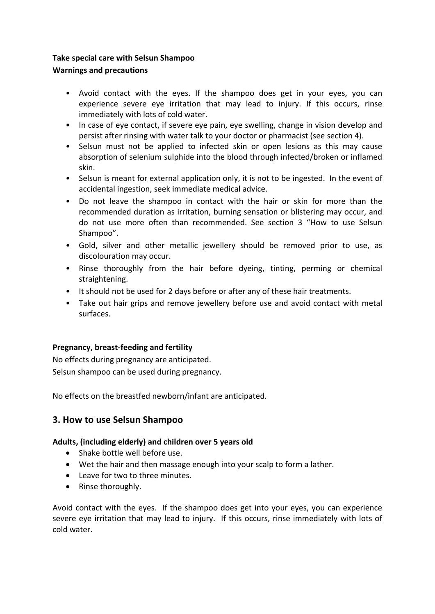# **Take special care with Selsun Shampoo**

# **Warnings and precautions**

- Avoid contact with the eyes. If the shampoo does get in your eyes, you can experience severe eye irritation that may lead to injury. If this occurs, rinse immediately with lots of cold water.
- In case of eye contact, if severe eye pain, eye swelling, change in vision develop and persist after rinsing with water talk to your doctor or pharmacist (see section 4).
- Selsun must not be applied to infected skin or open lesions as this may cause absorption of selenium sulphide into the blood through infected/broken or inflamed skin.
- Selsun is meant for external application only, it is not to be ingested. In the event of accidental ingestion, seek immediate medical advice.
- Do not leave the shampoo in contact with the hair or skin for more than the recommended duration as irritation, burning sensation or blistering may occur, and do not use more often than recommended. See section 3 "How to use Selsun Shampoo".
- Gold, silver and other metallic jewellery should be removed prior to use, as discolouration may occur.
- Rinse thoroughly from the hair before dyeing, tinting, perming or chemical straightening.
- It should not be used for 2 days before or after any of these hair treatments.
- Take out hair grips and remove jewellery before use and avoid contact with metal surfaces.

# **Pregnancy, breast-feeding and fertility**

No effects during pregnancy are anticipated. Selsun shampoo can be used during pregnancy.

No effects on the breastfed newborn/infant are anticipated.

# **3. How to use Selsun Shampoo**

# **Adults, (including elderly) and children over 5 years old**

- Shake bottle well before use.
- Wet the hair and then massage enough into your scalp to form a lather.
- Leave for two to three minutes.
- Rinse thoroughly.

Avoid contact with the eyes. If the shampoo does get into your eyes, you can experience severe eye irritation that may lead to injury. If this occurs, rinse immediately with lots of cold water.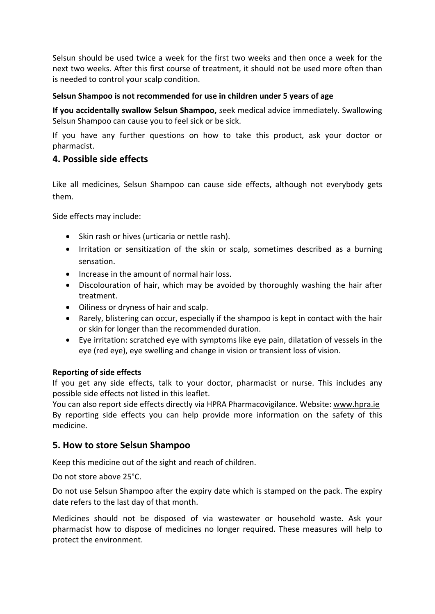Selsun should be used twice a week for the first two weeks and then once a week for the next two weeks. After this first course of treatment, it should not be used more often than is needed to control your scalp condition.

#### **Selsun Shampoo is not recommended for use in children under 5 years of age**

**If you accidentally swallow Selsun Shampoo,** seek medical advice immediately. Swallowing Selsun Shampoo can cause you to feel sick or be sick.

If you have any further questions on how to take this product, ask your doctor or pharmacist.

# **4. Possible side effects**

Like all medicines, Selsun Shampoo can cause side effects, although not everybody gets them.

Side effects may include:

- Skin rash or hives (urticaria or nettle rash).
- Irritation or sensitization of the skin or scalp, sometimes described as a burning sensation.
- Increase in the amount of normal hair loss.
- Discolouration of hair, which may be avoided by thoroughly washing the hair after treatment.
- Oiliness or dryness of hair and scalp.
- Rarely, blistering can occur, especially if the shampoo is kept in contact with the hair or skin for longer than the recommended duration.
- Eye irritation: scratched eye with symptoms like eye pain, dilatation of vessels in the eye (red eye), eye swelling and change in vision or transient loss of vision.

# **Reporting of side effects**

If you get any side effects, talk to your doctor, pharmacist or nurse. This includes any possible side effects not listed in this leaflet.

You can also report side effects directly via HPRA Pharmacovigilance. Website: www.hpra.ie By reporting side effects you can help provide more information on the safety of this medicine.

# **5. How to store Selsun Shampoo**

Keep this medicine out of the sight and reach of children.

Do not store above 25°C.

Do not use Selsun Shampoo after the expiry date which is stamped on the pack. The expiry date refers to the last day of that month.

Medicines should not be disposed of via wastewater or household waste. Ask your pharmacist how to dispose of medicines no longer required. These measures will help to protect the environment.